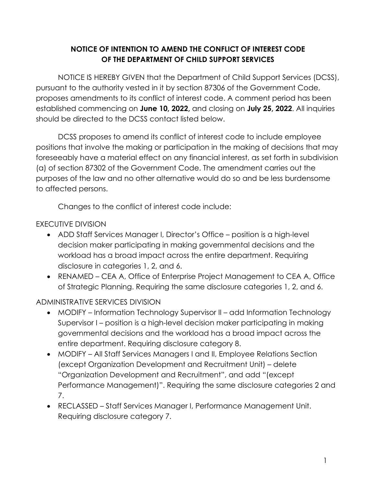## **NOTICE OF INTENTION TO AMEND THE CONFLICT OF INTEREST CODE OF THE DEPARTMENT OF CHILD SUPPORT SERVICES**

NOTICE IS HEREBY GIVEN that the Department of Child Support Services (DCSS), pursuant to the authority vested in it by section 87306 of the Government Code, proposes amendments to its conflict of interest code. A comment period has been established commencing on **June 10, 2022,** and closing on **July 25, 2022**. All inquiries should be directed to the DCSS contact listed below.

DCSS proposes to amend its conflict of interest code to include employee positions that involve the making or participation in the making of decisions that may foreseeably have a material effect on any financial interest, as set forth in subdivision (a) of section 87302 of the Government Code. The amendment carries out the purposes of the law and no other alternative would do so and be less burdensome to affected persons.

Changes to the conflict of interest code include:

## EXECUTIVE DIVISION

- ADD Staff Services Manager I, Director's Office position is a high-level decision maker participating in making governmental decisions and the workload has a broad impact across the entire department. Requiring disclosure in categories 1, 2, and 6.
- RENAMED CEA A, Office of Enterprise Project Management to CEA A, Office of Strategic Planning. Requiring the same disclosure categories 1, 2, and 6.

## ADMINISTRATIVE SERVICES DIVISION

- MODIFY Information Technology Supervisor II add Information Technology Supervisor I – position is a high-level decision maker participating in making governmental decisions and the workload has a broad impact across the entire department. Requiring disclosure category 8.
- MODIFY All Staff Services Managers I and II, Employee Relations Section (except Organization Development and Recruitment Unit) – delete "Organization Development and Recruitment", and add "(except Performance Management)". Requiring the same disclosure categories 2 and 7.
- RECLASSED Staff Services Manager I, Performance Management Unit. Requiring disclosure category 7.